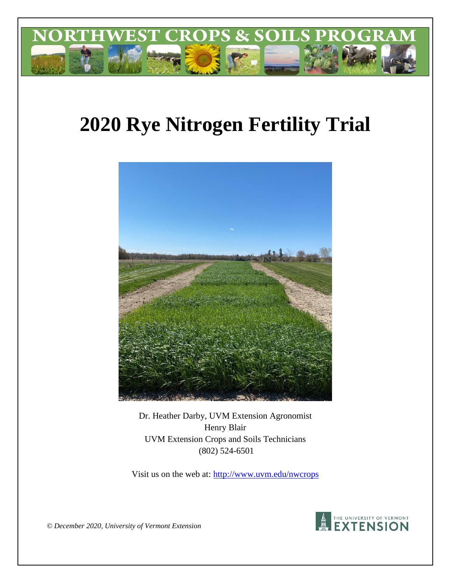

# **2020 Rye Nitrogen Fertility Trial**



Dr. Heather Darby, UVM Extension Agronomist Henry Blair UVM Extension Crops and Soils Technicians (802) 524-6501

Visit us on the web at: http://www.uvm.edu/nwcrops



*© December 2020, University of Vermont Extension*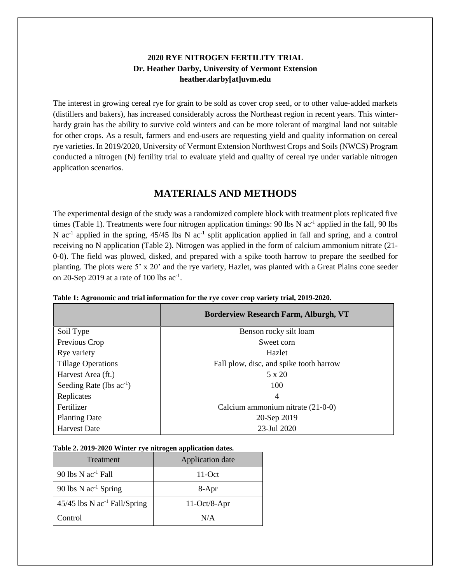### **2020 RYE NITROGEN FERTILITY TRIAL Dr. Heather Darby, University of Vermont Extension heather.darby[at]uvm.edu**

The interest in growing cereal rye for grain to be sold as cover crop seed, or to other value-added markets (distillers and bakers), has increased considerably across the Northeast region in recent years. This winterhardy grain has the ability to survive cold winters and can be more tolerant of marginal land not suitable for other crops. As a result, farmers and end-users are requesting yield and quality information on cereal rye varieties. In 2019/2020, University of Vermont Extension Northwest Crops and Soils (NWCS) Program conducted a nitrogen (N) fertility trial to evaluate yield and quality of cereal rye under variable nitrogen application scenarios.

## **MATERIALS AND METHODS**

The experimental design of the study was a randomized complete block with treatment plots replicated five times (Table 1). Treatments were four nitrogen application timings: 90 lbs N ac<sup>-1</sup> applied in the fall, 90 lbs N  $ac^{-1}$  applied in the spring, 45/45 lbs N  $ac^{-1}$  split application applied in fall and spring, and a control receiving no N application (Table 2). Nitrogen was applied in the form of calcium ammonium nitrate (21- 0-0). The field was plowed, disked, and prepared with a spike tooth harrow to prepare the seedbed for planting. The plots were 5' x 20' and the rye variety, Hazlet, was planted with a Great Plains cone seeder on 20-Sep 2019 at a rate of 100 lbs  $ac^{-1}$ .

|                               | <b>Borderview Research Farm, Alburgh, VT</b> |  |  |
|-------------------------------|----------------------------------------------|--|--|
| Soil Type                     | Benson rocky silt loam                       |  |  |
| Previous Crop                 | Sweet corn                                   |  |  |
| Rye variety                   | Hazlet                                       |  |  |
| <b>Tillage Operations</b>     | Fall plow, disc, and spike tooth harrow      |  |  |
| Harvest Area (ft.)            | $5 \times 20$                                |  |  |
| Seeding Rate (lbs $ac^{-1}$ ) | 100                                          |  |  |
| Replicates                    | $\overline{4}$                               |  |  |
| Fertilizer                    | Calcium ammonium nitrate (21-0-0)            |  |  |
| <b>Planting Date</b>          | 20-Sep 2019                                  |  |  |
| <b>Harvest Date</b>           | 23-Jul 2020                                  |  |  |

| Table 1: Agronomic and trial information for the rye cover crop variety trial, 2019-2020. |  |  |
|-------------------------------------------------------------------------------------------|--|--|
|                                                                                           |  |  |

|  | Table 2. 2019-2020 Winter rye nitrogen application dates. |  |
|--|-----------------------------------------------------------|--|
|  |                                                           |  |

| <b>Treatment</b>                           | Application date |
|--------------------------------------------|------------------|
| 90 lbs $N$ ac <sup>-1</sup> Fall           | $11-Oct$         |
| 90 lbs $N$ ac <sup>-1</sup> Spring         | 8-Apr            |
| $45/45$ lbs N ac <sup>-1</sup> Fall/Spring | $11-Oct/8-Apr$   |
| Control                                    | N/A              |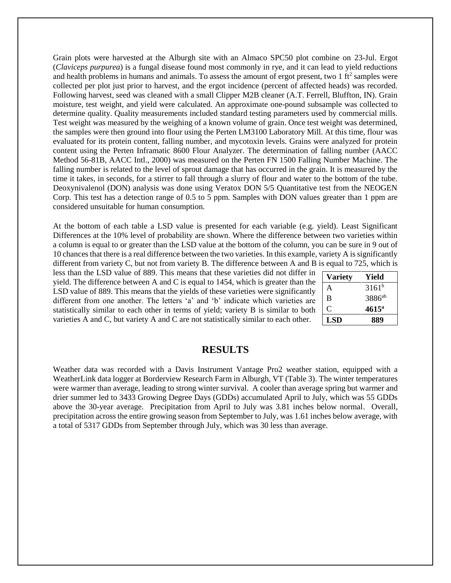Grain plots were harvested at the Alburgh site with an Almaco SPC50 plot combine on 23-Jul. Ergot (*Claviceps purpurea*) is a fungal disease found most commonly in rye, and it can lead to yield reductions and health problems in humans and animals. To assess the amount of ergot present, two  $1 \text{ ft}^2$  samples were collected per plot just prior to harvest, and the ergot incidence (percent of affected heads) was recorded. Following harvest, seed was cleaned with a small Clipper M2B cleaner (A.T. Ferrell, Bluffton, IN). Grain moisture, test weight, and yield were calculated. An approximate one-pound subsample was collected to determine quality. Quality measurements included standard testing parameters used by commercial mills. Test weight was measured by the weighing of a known volume of grain. Once test weight was determined, the samples were then ground into flour using the Perten LM3100 Laboratory Mill. At this time, flour was evaluated for its protein content, falling number, and mycotoxin levels. Grains were analyzed for protein content using the Perten Inframatic 8600 Flour Analyzer. The determination of falling number (AACC Method 56-81B, AACC Intl., 2000) was measured on the Perten FN 1500 Falling Number Machine. The falling number is related to the level of sprout damage that has occurred in the grain. It is measured by the time it takes, in seconds, for a stirrer to fall through a slurry of flour and water to the bottom of the tube. Deoxynivalenol (DON) analysis was done using Veratox DON 5/5 Quantitative test from the NEOGEN Corp. This test has a detection range of 0.5 to 5 ppm. Samples with DON values greater than 1 ppm are considered unsuitable for human consumption.

At the bottom of each table a LSD value is presented for each variable (e.g. yield). Least Significant Differences at the 10% level of probability are shown. Where the difference between two varieties within a column is equal to or greater than the LSD value at the bottom of the column, you can be sure in 9 out of 10 chances that there is a real difference between the two varieties. In this example, variety A is significantly different from variety C, but not from variety B. The difference between A and B is equal to 725, which is

less than the LSD value of 889. This means that these varieties did not differ in yield. The difference between A and C is equal to 1454, which is greater than the LSD value of 889. This means that the yields of these varieties were significantly different from one another. The letters 'a' and 'b' indicate which varieties are statistically similar to each other in terms of yield; variety B is similar to both varieties A and C, but variety A and C are not statistically similar to each other.

| <b>Variety</b> | Yield              |
|----------------|--------------------|
| A              | $3161^{b}$         |
| B              | 3886 <sup>ab</sup> |
| C              | $4615^{\rm a}$     |
| <b>LSD</b>     | 889                |

### **RESULTS**

Weather data was recorded with a Davis Instrument Vantage Pro2 weather station, equipped with a WeatherLink data logger at Borderview Research Farm in Alburgh, VT (Table 3). The winter temperatures were warmer than average, leading to strong winter survival. A cooler than average spring but warmer and drier summer led to 3433 Growing Degree Days (GDDs) accumulated April to July, which was 55 GDDs above the 30-year average. Precipitation from April to July was 3.81 inches below normal. Overall, precipitation across the entire growing season from September to July, was 1.61 inches below average, with a total of 5317 GDDs from September through July, which was 30 less than average.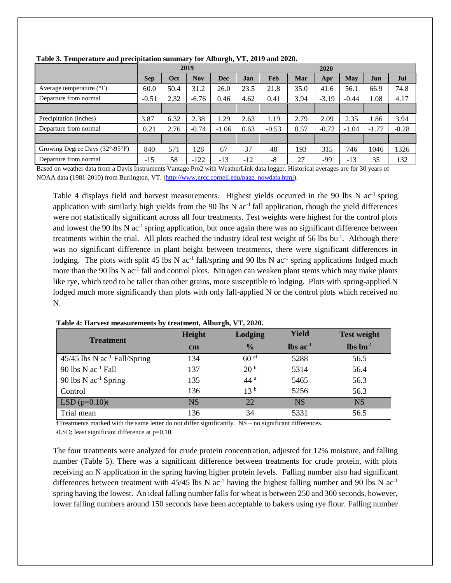|                                   | 2019       |      |            | 2020       |       |         |      |         |         |         |         |
|-----------------------------------|------------|------|------------|------------|-------|---------|------|---------|---------|---------|---------|
|                                   | <b>Sep</b> | Oct  | <b>Nov</b> | <b>Dec</b> | Jan   | Feb     | Mar  | Apr     | May     | Jun     | Jul     |
| Average temperature $(^{\circ}F)$ | 60.0       | 50.4 | 31.2       | 26.0       | 23.5  | 21.8    | 35.0 | 41.6    | 56.1    | 66.9    | 74.8    |
| Departure from normal             | $-0.51$    | 2.32 | $-6.76$    | 0.46       | 4.62  | 0.41    | 3.94 | $-3.19$ | $-0.44$ | 1.08    | 4.17    |
|                                   |            |      |            |            |       |         |      |         |         |         |         |
| Precipitation (inches)            | 3.87       | 6.32 | 2.38       | .29        | 2.63  | 1.19    | 2.79 | 2.09    | 2.35    | 1.86    | 3.94    |
| Departure from normal             | 0.21       | 2.76 | $-0.74$    | $-1.06$    | 0.63  | $-0.53$ | 0.57 | $-0.72$ | $-1.04$ | $-1.77$ | $-0.28$ |
|                                   |            |      |            |            |       |         |      |         |         |         |         |
| Growing Degree Days (32°-95°F)    | 840        | 571  | 128        | 67         | 37    | 48      | 193  | 315     | 746     | 1046    | 1326    |
| Departure from normal             | $-15$      | 58   | $-122$     | $-13$      | $-12$ | -8      | 27   | -99     | $-13$   | 35      | 132     |

**Table 3. Temperature and precipitation summary for Alburgh, VT, 2019 and 2020.**

Based on weather data from a Davis Instruments Vantage Pro2 with WeatherLink data logger. Historical averages are for 30 years of NOAA data (1981-2010) from Burlington, VT. [\(http://www.nrcc.cornell.edu/page\\_nowdata.html\)](http://www.nrcc.cornell.edu/page_nowdata.html).

Table 4 displays field and harvest measurements. Highest yields occurred in the 90 lbs N  $ac^{-1}$  spring application with similarly high yields from the 90 lbs N  $ac^{-1}$  fall application, though the yield differences were not statistically significant across all four treatments. Test weights were highest for the control plots and lowest the 90 lbs N ac<sup>-1</sup> spring application, but once again there was no significant difference between treatments within the trial. All plots reached the industry ideal test weight of 56 lbs bu<sup>-1</sup>. Although there was no significant difference in plant height between treatments, there were significant differences in lodging. The plots with split 45 lbs N  $ac^{-1}$  fall/spring and 90 lbs N  $ac^{-1}$  spring applications lodged much more than the 90 lbs N ac<sup>-1</sup> fall and control plots. Nitrogen can weaken plant stems which may make plants like rye, which tend to be taller than other grains, more susceptible to lodging. Plots with spring-applied N lodged much more significantly than plots with only fall-applied N or the control plots which received no N.

| <b>Treatment</b>                           | Height        | Lodging         | <b>Yield</b>           | <b>Test weight</b>               |
|--------------------------------------------|---------------|-----------------|------------------------|----------------------------------|
|                                            | $\mathbf{cm}$ | $\frac{0}{0}$   | $\ln$ ac <sup>-1</sup> | $\mathbf{lbs}\,\mathbf{bu}^{-1}$ |
| $45/45$ lbs N ac <sup>-1</sup> Fall/Spring | 134           | $60$ at         | 5288                   | 56.5                             |
| 90 lbs $N$ ac <sup>-1</sup> Fall           | 137           | 20 <sup>b</sup> | 5314                   | 56.4                             |
| 90 lbs $N$ ac <sup>-1</sup> Spring         | 135           | 44 <sup>a</sup> | 5465                   | 56.3                             |
| Control                                    | 136           | 13 <sup>b</sup> | 5256                   | 56.3                             |
| LSD $(p=0.10)$ #                           | <b>NS</b>     | 22              | <b>NS</b>              | <b>NS</b>                        |
| Trial mean                                 | 136           | 34              | 5331                   | 56.5                             |

**Table 4: Harvest measurements by treatment, Alburgh, VT, 2020.**

ϯTreatments marked with the same letter do not differ significantly. NS – no significant differences.

ᵵLSD; least significant difference at p=0.10.

The four treatments were analyzed for crude protein concentration, adjusted for 12% moisture, and falling number (Table 5). There was a significant difference between treatments for crude protein, with plots receiving an N application in the spring having higher protein levels. Falling number also had significant differences between treatment with 45/45 lbs N  $ac^{-1}$  having the highest falling number and 90 lbs N  $ac^{-1}$ spring having the lowest. An ideal falling number falls for wheat is between 250 and 300 seconds, however, lower falling numbers around 150 seconds have been acceptable to bakers using rye flour. Falling number